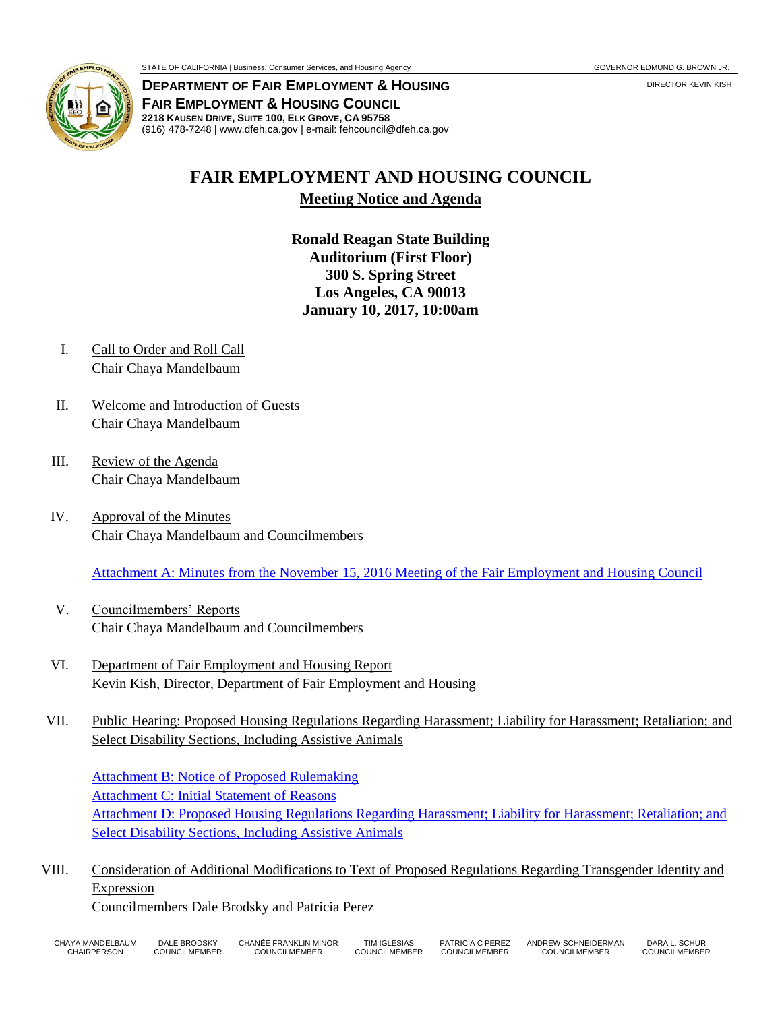

**DEPARTMENT OF FAIR EMPLOYMENT & HOUSING FAIR EMPLOYMENT & HOUSING COUNCIL 2218 KAUSEN DRIVE, SUITE 100, ELK GROVE, CA 95758** (916) 478-7248 | www.dfeh.ca.gov | e-mail: fehcouncil@dfeh.ca.gov

## **FAIR EMPLOYMENT AND HOUSING COUNCIL Meeting Notice and Agenda**

**Ronald Reagan State Building Auditorium (First Floor) 300 S. Spring Street Los Angeles, CA 90013 January 10, 2017, 10:00am** 

- I. Call to Order and Roll Call Chair Chaya Mandelbaum
- II. Welcome and Introduction of Guests Chair Chaya Mandelbaum
- III. Review of the Agenda Chair Chaya Mandelbaum
- IV. Approval of the Minutes Chair Chaya Mandelbaum and Councilmembers

[Attachment A: Minutes from the November 15, 2016 Meeting of the Fair Employment and Housing Council](/wp-content/uploads/sites/32/2017/06/AttachA-FEHCMinutes2016Nov15.pdf)

- V. Councilmembers' Reports Chair Chaya Mandelbaum and Councilmembers
- VI. Department of Fair Employment and Housing Report Kevin Kish, Director, Department of Fair Employment and Housing
- VII. Public Hearing: Proposed Housing Regulations Regarding Harassment; Liability for Harassment; Retaliation; and Select Disability Sections, Including Assistive Animals

[Attachment B: Notice of Proposed Rulemaking](/wp-content/uploads/sites/32/2017/06/AttachB-NtcHousingRegHarassmentLiab4HarasRetaliationSelectDisabilitySectIncAssistiveAnimals.pdf) [Attachment C: Initial Statement of Reasons](/wp-content/uploads/sites/32/2017/06/AttachC-InitStmtofReason-HousingRegHarasLiab.pdf) [Attachment D: Proposed Housing Regulations Regarding Harassment; Liability for Harassment; Retaliation; and](/wp-content/uploads/sites/32/2017/06/AttachD-Text-HousingRegHarasLiab.pdf) [Select Disability Sections, Including Assistive Animals](/wp-content/uploads/sites/32/2017/06/AttachD-Text-HousingRegHarasLiab.pdf)

VIII. Consideration of Additional Modifications to Text of Proposed Regulations Regarding Transgender Identity and Expression

Councilmembers Dale Brodsky and Patricia Perez